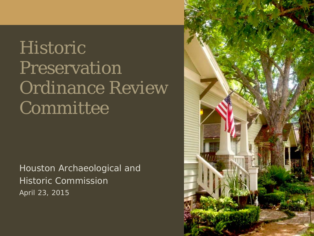# Historic Preservation Ordinance Review Committee

Houston Archaeological and Historic Commission April 23, 2015

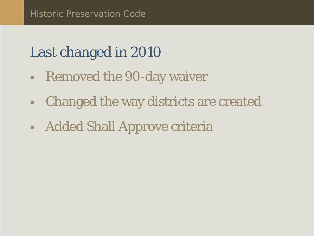# Last changed in 2010

- **Removed the 90-day waiver**
- Changed the way districts are created
- **Added Shall Approve criteria**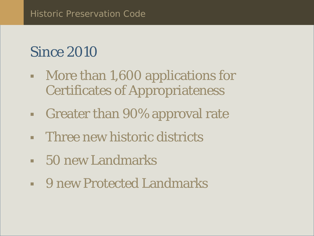## Since 2010

- **More than 1,600 applications for** Certificates of Appropriateness
- Greater than 90% approval rate
- **Figure 1.5 Three new historic districts**
- 50 new Landmarks
- 9 new Protected Landmarks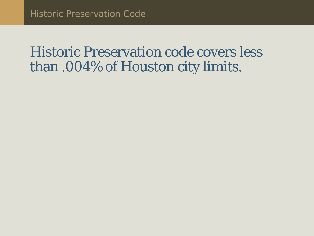## Historic Preservation code covers less than .004% of Houston city limits.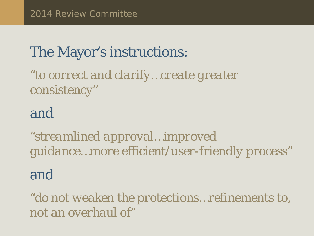## The Mayor's instructions:

*"to correct and clarify…create greater consistency"*

### and

*"streamlined approval…improved guidance…more efficient/user-friendly process"*

#### and

*"do not weaken the protections…refinements to, not an overhaul of"*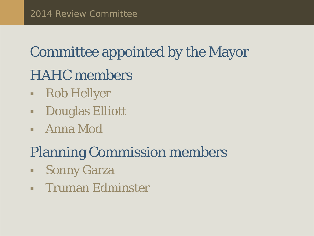# Committee appointed by the Mayor HAHC members

- Rob Hellyer
- Douglas Elliott
- Anna Mod

# Planning Commission members

- **Sonny Garza**
- **Truman Edminster**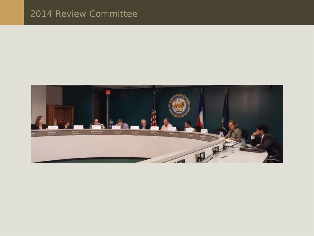#### 2014 Review Committee

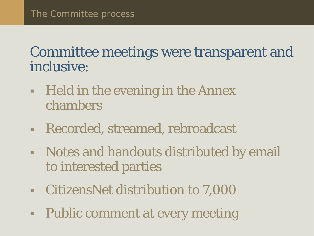## Committee meetings were transparent and inclusive:

- **Figure 1.5 The letter in the Annex Figure 2.1** The Annex chambers
- Recorded, streamed, rebroadcast
- Notes and handouts distributed by email to interested parties
- CitizensNet distribution to 7,000
- Public comment at every meeting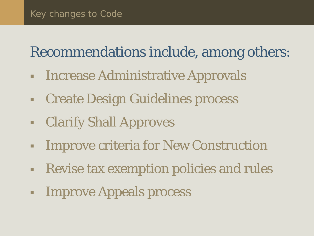## Recommendations include, among others:

- **Increase Administrative Approvals**
- Create Design Guidelines process
- Clarify Shall Approves
- **Improve criteria for New Construction**
- Revise tax exemption policies and rules
- **Example 23 Improve Appeals process**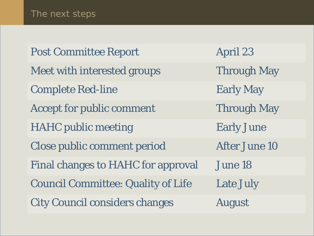Post Committee Report April 23 Meet with interested groups Through May Complete Red-line Early May Accept for public comment Through May HAHC public meeting Early June Close public comment period After June 10 Final changes to HAHC for approval June 18 Council Committee: Quality of Life Late July City Council considers changes August